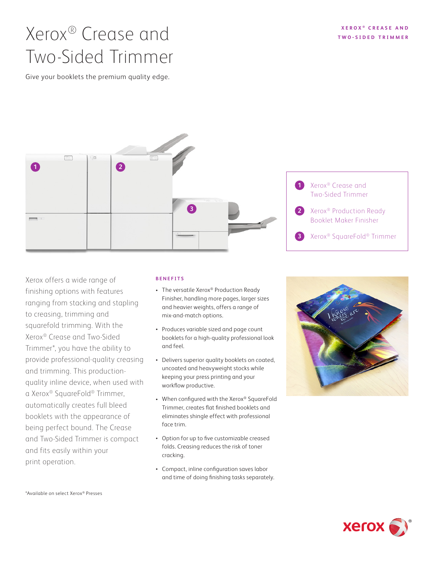#### **XEROX ® C R E A S E A N D T W O - S I D E D T R I M M E R**

# Xerox® Crease and Two-Sided Trimmer

Give your booklets the premium quality edge.



Xerox offers a wide range of finishing options with features ranging from stacking and stapling to creasing, trimming and squarefold trimming. With the Xerox® Crease and Two-Sided Trimmer\*, you have the ability to provide professional-quality creasing and trimming. This productionquality inline device, when used with a Xerox® SquareFold® Trimmer, automatically creates full bleed booklets with the appearance of being perfect bound. The Crease and Two-Sided Trimmer is compact and fits easily within your print operation.

#### **BENEFITS**

- The versatile Xerox® Production Ready Finisher, handling more pages, larger sizes and heavier weights, offers a range of mix-and-match options.
- Produces variable sized and page count booklets for a high-quality professional look and feel.
- Delivers superior quality booklets on coated, uncoated and heavyweight stocks while keeping your press printing and your workflow productive.
- When configured with the Xerox® SquareFold Trimmer, creates flat finished booklets and eliminates shingle effect with professional face trim.
- Option for up to five customizable creased folds. Creasing reduces the risk of toner cracking.
- Compact, inline configuration saves labor and time of doing finishing tasks separately.





\*Available on select Xerox® Presses